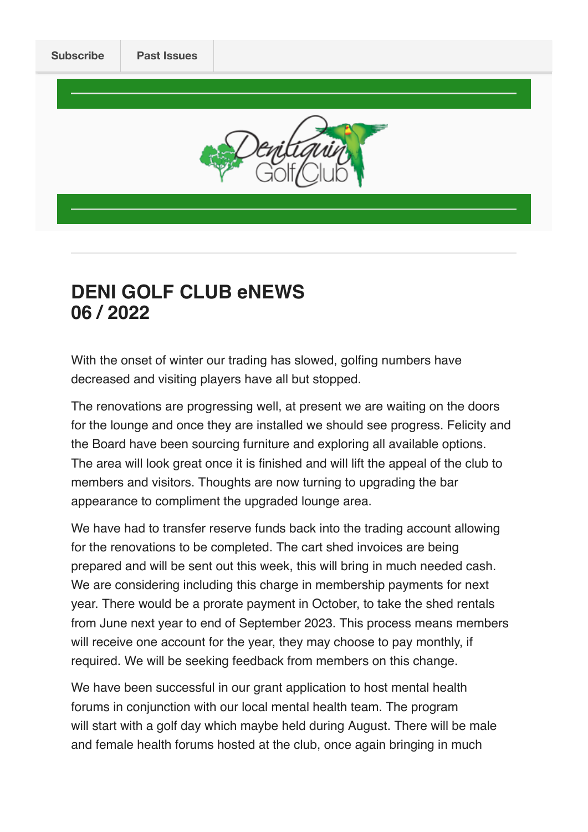

# **DENI GOLF CLUB eNEWS 06 / 2022**

With the onset of winter our trading has slowed, golfing numbers have decreased and visiting players have all but stopped.

The renovations are progressing well, at present we are waiting on the doors for the lounge and once they are installed we should see progress. Felicity and the Board have been sourcing furniture and exploring all available options. The area will look great once it is finished and will lift the appeal of the club to members and visitors. Thoughts are now turning to upgrading the bar appearance to compliment the upgraded lounge area.

We have had to transfer reserve funds back into the trading account allowing for the renovations to be completed. The cart shed invoices are being prepared and will be sent out this week, this will bring in much needed cash. We are considering including this charge in membership payments for next year. There would be a prorate payment in October, to take the shed rentals from June next year to end of September 2023. This process means members will receive one account for the year, they may choose to pay monthly, if required. We will be seeking feedback from members on this change.

We have been successful in our grant application to host mental health forums in conjunction with our local mental health team. The program will start with a golf day which maybe held during August. There will be male and female health forums hosted at the club, once again bringing in much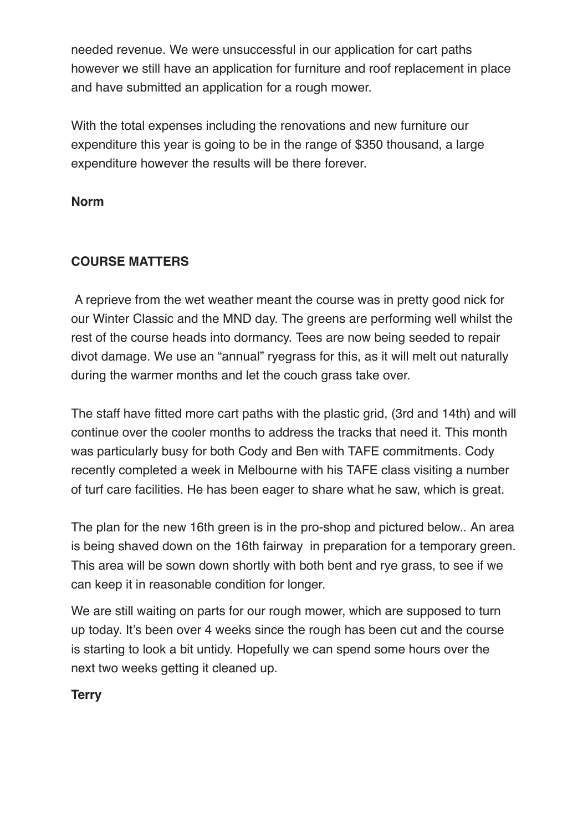needed revenue. We were unsuccessful in our application for cart paths however we still have an application for furniture and roof replacement in place and have submitted an application for a rough mower.

With the total expenses including the renovations and new furniture our expenditure this year is going to be in the range of \$350 thousand, a large expenditure however the results will be there forever.

#### **Norm**

## **COURSE MATTERS**

 A reprieve from the wet weather meant the course was in pretty good nick for our Winter Classic and the MND day. The greens are performing well whilst the rest of the course heads into dormancy. Tees are now being seeded to repair divot damage. We use an "annual" ryegrass for this, as it will melt out naturally during the warmer months and let the couch grass take over.

The staff have fitted more cart paths with the plastic grid, (3rd and 14th) and will continue over the cooler months to address the tracks that need it. This month was particularly busy for both Cody and Ben with TAFE commitments. Cody recently completed a week in Melbourne with his TAFE class visiting a number of turf care facilities. He has been eager to share what he saw, which is great.

The plan for the new 16th green is in the pro-shop and pictured below.. An area is being shaved down on the 16th fairway in preparation for a temporary green. This area will be sown down shortly with both bent and rye grass, to see if we can keep it in reasonable condition for longer.

We are still waiting on parts for our rough mower, which are supposed to turn up today. It's been over 4 weeks since the rough has been cut and the course is starting to look a bit untidy. Hopefully we can spend some hours over the next two weeks getting it cleaned up.

#### **Terry**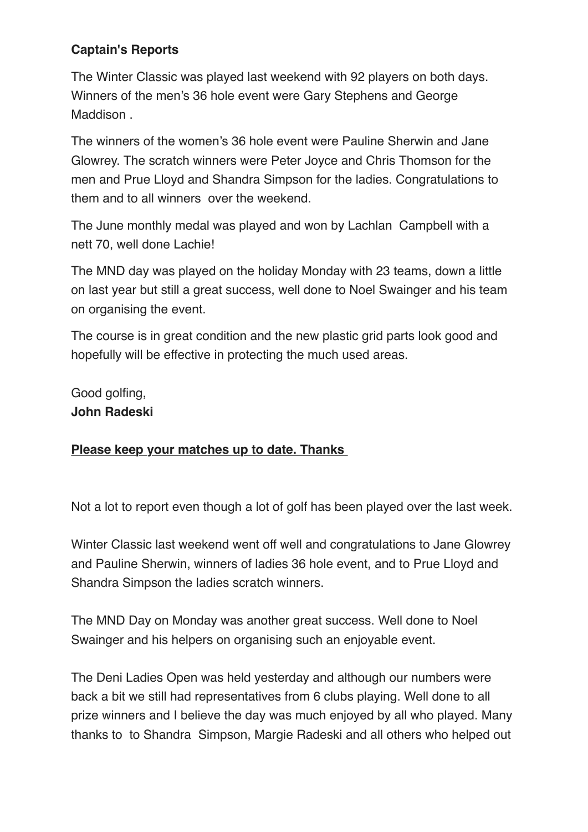# **Captain's Reports**

The Winter Classic was played last weekend with 92 players on both days. Winners of the men's 36 hole event were Gary Stephens and George Maddison .

The winners of the women's 36 hole event were Pauline Sherwin and Jane Glowrey. The scratch winners were Peter Joyce and Chris Thomson for the men and Prue Lloyd and Shandra Simpson for the ladies. Congratulations to them and to all winners over the weekend.

The June monthly medal was played and won by Lachlan Campbell with a nett 70, well done Lachie!

The MND day was played on the holiday Monday with 23 teams, down a little on last year but still a great success, well done to Noel Swainger and his team on organising the event.

The course is in great condition and the new plastic grid parts look good and hopefully will be effective in protecting the much used areas.

Good golfing, **John Radeski** 

## **Please keep your matches up to date. Thanks**

Not a lot to report even though a lot of golf has been played over the last week.

Winter Classic last weekend went off well and congratulations to Jane Glowrey and Pauline Sherwin, winners of ladies 36 hole event, and to Prue Lloyd and Shandra Simpson the ladies scratch winners.

The MND Day on Monday was another great success. Well done to Noel Swainger and his helpers on organising such an enjoyable event.

The Deni Ladies Open was held yesterday and although our numbers were back a bit we still had representatives from 6 clubs playing. Well done to all prize winners and I believe the day was much enjoyed by all who played. Many thanks to to Shandra Simpson, Margie Radeski and all others who helped out